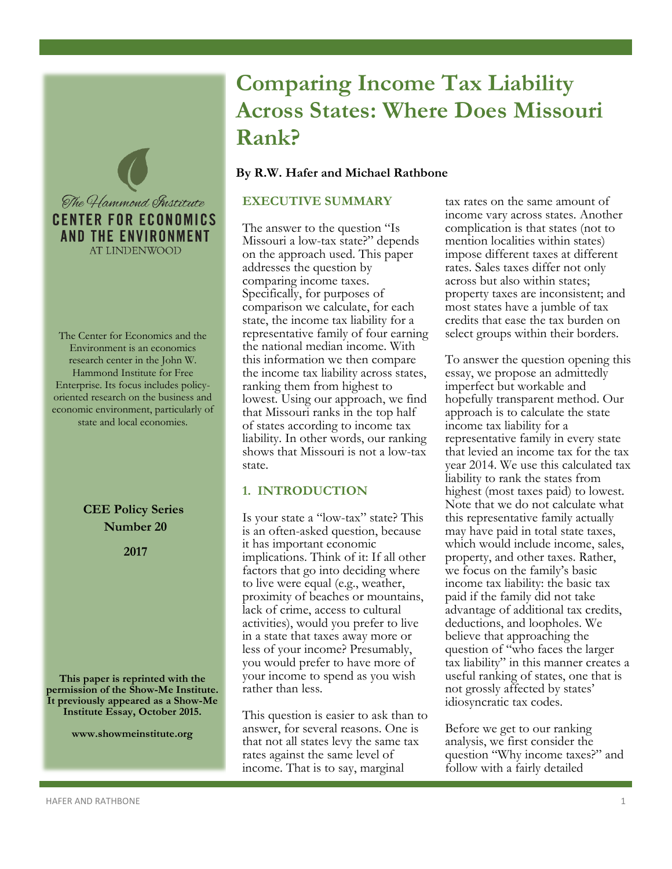

The Center for Economics and the Environment is an economics research center in the John W. Hammond Institute for Free Enterprise. Its focus includes policyoriented research on the business and economic environment, particularly of state and local economies.

> **CEE Policy Series Number 20**

> > **2017**

**This paper is reprinted with the permission of the Show-Me Institute. It previously appeared as a Show-Me Institute Essay, October 2015.**

**www.showmeinstitute.org**

# **Comparing Income Tax Liability Across States: Where Does Missouri Rank?**

## **By R.W. Hafer and Michael Rathbone**

## **EXECUTIVE SUMMARY**

The answer to the question "Is Missouri a low-tax state?" depends on the approach used. This paper addresses the question by comparing income taxes. Specifically, for purposes of comparison we calculate, for each state, the income tax liability for a representative family of four earning the national median income. With this information we then compare the income tax liability across states, ranking them from highest to lowest. Using our approach, we find that Missouri ranks in the top half of states according to income tax liability. In other words, our ranking shows that Missouri is not a low-tax state.

# **1. INTRODUCTION**

Is your state a "low-tax" state? This is an often-asked question, because it has important economic implications. Think of it: If all other factors that go into deciding where to live were equal (e.g., weather, proximity of beaches or mountains, lack of crime, access to cultural activities), would you prefer to live in a state that taxes away more or less of your income? Presumably, you would prefer to have more of your income to spend as you wish rather than less.

This question is easier to ask than to answer, for several reasons. One is that not all states levy the same tax rates against the same level of income. That is to say, marginal

tax rates on the same amount of income vary across states. Another complication is that states (not to mention localities within states) impose different taxes at different rates. Sales taxes differ not only across but also within states; property taxes are inconsistent; and most states have a jumble of tax credits that ease the tax burden on select groups within their borders.

To answer the question opening this essay, we propose an admittedly imperfect but workable and hopefully transparent method. Our approach is to calculate the state income tax liability for a representative family in every state that levied an income tax for the tax year 2014. We use this calculated tax liability to rank the states from highest (most taxes paid) to lowest. Note that we do not calculate what this representative family actually may have paid in total state taxes, which would include income, sales, property, and other taxes. Rather, we focus on the family's basic income tax liability: the basic tax paid if the family did not take advantage of additional tax credits, deductions, and loopholes. We believe that approaching the question of "who faces the larger tax liability" in this manner creates a useful ranking of states, one that is not grossly affected by states' idiosyncratic tax codes.

Before we get to our ranking analysis, we first consider the question "Why income taxes?" and follow with a fairly detailed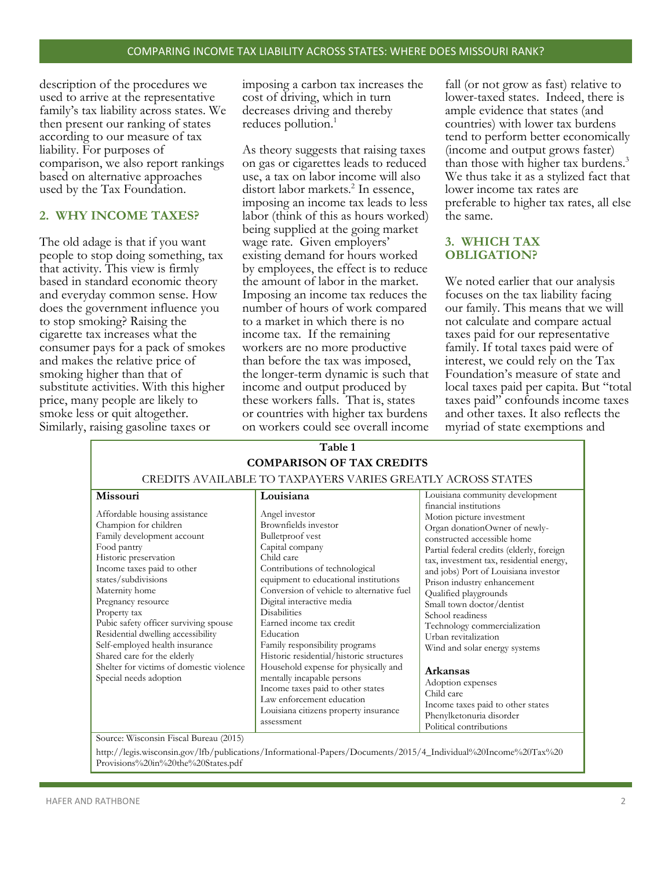description of the procedures we used to arrive at the representative family's tax liability across states. We then present our ranking of states according to our measure of tax liability. For purposes of comparison, we also report rankings based on alternative approaches used by the Tax Foundation.

# **2. WHY INCOME TAXES?**

The old adage is that if you want people to stop doing something, tax that activity. This view is firmly based in standard economic theory and everyday common sense. How does the government influence you to stop smoking? Raising the cigarette tax increases what the consumer pays for a pack of smokes and makes the relative price of smoking higher than that of substitute activities. With this higher price, many people are likely to smoke less or quit altogether. Similarly, raising gasoline taxes or

imposing a carbon tax increases the cost of driving, which in turn decreases driving and thereby reduces pollution.<sup>1</sup>

As theory suggests that raising taxes on gas or cigarettes leads to reduced use, a tax on labor income will also distort labor markets.<sup>2</sup> In essence, imposing an income tax leads to less labor (think of this as hours worked) being supplied at the going market wage rate. Given employers' existing demand for hours worked by employees, the effect is to reduce the amount of labor in the market. Imposing an income tax reduces the number of hours of work compared to a market in which there is no income tax. If the remaining workers are no more productive than before the tax was imposed, the longer-term dynamic is such that income and output produced by these workers falls. That is, states or countries with higher tax burdens on workers could see overall income

fall (or not grow as fast) relative to lower-taxed states. Indeed, there is ample evidence that states (and countries) with lower tax burdens tend to perform better economically (income and output grows faster) than those with higher tax burdens.<sup>3</sup> We thus take it as a stylized fact that lower income tax rates are preferable to higher tax rates, all else the same.

# **3. WHICH TAX OBLIGATION?**

We noted earlier that our analysis focuses on the tax liability facing our family. This means that we will not calculate and compare actual taxes paid for our representative family. If total taxes paid were of interest, we could rely on the Tax Foundation's measure of state and local taxes paid per capita. But "total taxes paid" confounds income taxes and other taxes. It also reflects the myriad of state exemptions and

| Table 1                                                                                                                                                                                                                                                                                                                                                                                                                                                                                                                      |                                                                                                                                                                                                                                                                                                                                                                                                                                                                                                                                                                                                            |                                                                                                                                                                                                                                                                                                                                                                                                                                                                                                                                                                                                                                      |  |  |  |  |  |
|------------------------------------------------------------------------------------------------------------------------------------------------------------------------------------------------------------------------------------------------------------------------------------------------------------------------------------------------------------------------------------------------------------------------------------------------------------------------------------------------------------------------------|------------------------------------------------------------------------------------------------------------------------------------------------------------------------------------------------------------------------------------------------------------------------------------------------------------------------------------------------------------------------------------------------------------------------------------------------------------------------------------------------------------------------------------------------------------------------------------------------------------|--------------------------------------------------------------------------------------------------------------------------------------------------------------------------------------------------------------------------------------------------------------------------------------------------------------------------------------------------------------------------------------------------------------------------------------------------------------------------------------------------------------------------------------------------------------------------------------------------------------------------------------|--|--|--|--|--|
| <b>COMPARISON OF TAX CREDITS</b>                                                                                                                                                                                                                                                                                                                                                                                                                                                                                             |                                                                                                                                                                                                                                                                                                                                                                                                                                                                                                                                                                                                            |                                                                                                                                                                                                                                                                                                                                                                                                                                                                                                                                                                                                                                      |  |  |  |  |  |
| CREDITS AVAILABLE TO TAXPAYERS VARIES GREATLY ACROSS STATES                                                                                                                                                                                                                                                                                                                                                                                                                                                                  |                                                                                                                                                                                                                                                                                                                                                                                                                                                                                                                                                                                                            |                                                                                                                                                                                                                                                                                                                                                                                                                                                                                                                                                                                                                                      |  |  |  |  |  |
| <b>Missouri</b><br>Affordable housing assistance<br>Champion for children<br>Family development account<br>Food pantry<br>Historic preservation<br>Income taxes paid to other<br>states/subdivisions<br>Maternity home<br>Pregnancy resource<br>Property tax<br>Pubic safety officer surviving spouse<br>Residential dwelling accessibility<br>Self-employed health insurance<br>Shared care for the elderly<br>Shelter for victims of domestic violence<br>Special needs adoption<br>Source: Wisconsin Fiscal Bureau (2015) | Louisiana<br>Angel investor<br>Brownfields investor<br>Bulletproof vest<br>Capital company<br>Child care<br>Contributions of technological<br>equipment to educational institutions<br>Conversion of vehicle to alternative fuel<br>Digital interactive media<br><b>Disabilities</b><br>Earned income tax credit<br>Education<br>Family responsibility programs<br>Historic residential/historic structures<br>Household expense for physically and<br>mentally incapable persons<br>Income taxes paid to other states<br>Law enforcement education<br>Louisiana citizens property insurance<br>assessment | Louisiana community development<br>financial institutions<br>Motion picture investment<br>Organ donationOwner of newly-<br>constructed accessible home<br>Partial federal credits (elderly, foreign<br>tax, investment tax, residential energy,<br>and jobs) Port of Louisiana investor<br>Prison industry enhancement<br>Qualified playgrounds<br>Small town doctor/dentist<br>School readiness<br>Technology commercialization<br>Urban revitalization<br>Wind and solar energy systems<br>Arkansas<br>Adoption expenses<br>Child care<br>Income taxes paid to other states<br>Phenylketonuria disorder<br>Political contributions |  |  |  |  |  |

http://legis.wisconsin.gov/lfb/publications/Informational-Papers/Documents/2015/4\_Individual%20Income%20Tax%20 Provisions%20in%20the%20States.pdf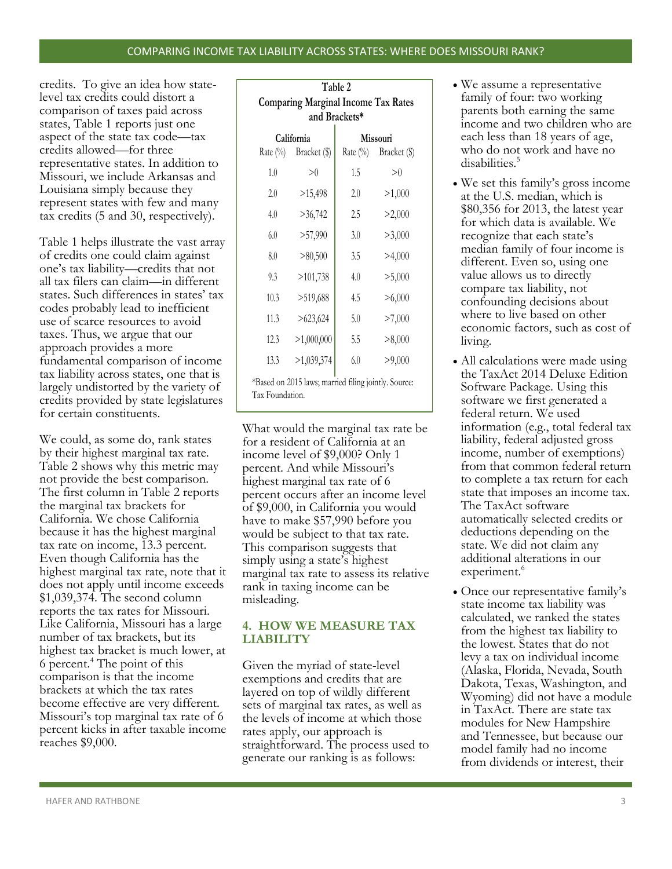#### COMPARING INCOME TAX LIABILITY ACROSS STATES: WHERE DOES MISSOURI RANK?

credits. To give an idea how statelevel tax credits could distort a comparison of taxes paid across states, Table 1 reports just one aspect of the state tax code—tax credits allowed—for three representative states. In addition to Missouri, we include Arkansas and Louisiana simply because they represent states with few and many tax credits (5 and 30, respectively).

Table 1 helps illustrate the vast array of credits one could claim against one's tax liability—credits that not all tax filers can claim—in different states. Such differences in states' tax codes probably lead to inefficient use of scarce resources to avoid taxes. Thus, we argue that our approach provides a more fundamental comparison of income tax liability across states, one that is largely undistorted by the variety of credits provided by state legislatures for certain constituents.

We could, as some do, rank states by their highest marginal tax rate. Table 2 shows why this metric may not provide the best comparison. The first column in Table 2 reports the marginal tax brackets for California. We chose California because it has the highest marginal tax rate on income, 13.3 percent. Even though California has the highest marginal tax rate, note that it does not apply until income exceeds \$1,039,374. The second column reports the tax rates for Missouri. Like California, Missouri has a large number of tax brackets, but its highest tax bracket is much lower, at 6 percent.<sup>4</sup> The point of this comparison is that the income brackets at which the tax rates become effective are very different. Missouri's top marginal tax rate of 6 percent kicks in after taxable income reaches \$9,000.

| Table 2                                                                 |              |          |              |  |  |  |  |
|-------------------------------------------------------------------------|--------------|----------|--------------|--|--|--|--|
| <b>Comparing Marginal Income Tax Rates</b>                              |              |          |              |  |  |  |  |
| and Brackets*                                                           |              |          |              |  |  |  |  |
| California                                                              |              | Missouri |              |  |  |  |  |
| Rate $(\%)$                                                             | Bracket (\$) | Rate (%) | Bracket (\$) |  |  |  |  |
| 1.0                                                                     | >0           | 1.5      | >0           |  |  |  |  |
| 2.0                                                                     | >15,498      | 2.0      | >1,000       |  |  |  |  |
| 4.0                                                                     | >36,742      | 2.5      | >2,000       |  |  |  |  |
| 6.0                                                                     | >57,990      | 3.0      | >3,000       |  |  |  |  |
| 8.0                                                                     | >80,500      | 3.5      | >4,000       |  |  |  |  |
| 9.3                                                                     | >101,738     | 4.0      | >5,000       |  |  |  |  |
| 10.3                                                                    | >519,688     | 4.5      | >6,000       |  |  |  |  |
| 11.3                                                                    | >623,624     | 5.0      | >7,000       |  |  |  |  |
| 12.3                                                                    | >1,000,000   | 5.5      | >8,000       |  |  |  |  |
| 13.3                                                                    | >1,039,374   | 6.0      | >9,000       |  |  |  |  |
| *Based on 2015 laws; married filing jointly. Source:<br>Tax Foundation. |              |          |              |  |  |  |  |

What would the marginal tax rate be for a resident of California at an income level of \$9,000? Only 1 percent. And while Missouri's highest marginal tax rate of 6 percent occurs after an income level of \$9,000, in California you would have to make \$57,990 before you would be subject to that tax rate. This comparison suggests that simply using a state's highest marginal tax rate to assess its relative rank in taxing income can be misleading.

## **4. HOW WE MEASURE TAX LIABILITY**

Given the myriad of state-level exemptions and credits that are layered on top of wildly different sets of marginal tax rates, as well as the levels of income at which those rates apply, our approach is straightforward. The process used to generate our ranking is as follows:

- We assume a representative family of four: two working parents both earning the same income and two children who are each less than 18 years of age, who do not work and have no disabilities.<sup>5</sup>
- We set this family's gross income at the U.S. median, which is \$80,356 for 2013, the latest year for which data is available. We recognize that each state's median family of four income is different. Even so, using one value allows us to directly compare tax liability, not confounding decisions about where to live based on other economic factors, such as cost of living.
- All calculations were made using the TaxAct 2014 Deluxe Edition Software Package. Using this software we first generated a federal return. We used information (e.g., total federal tax liability, federal adjusted gross income, number of exemptions) from that common federal return to complete a tax return for each state that imposes an income tax. The TaxAct software automatically selected credits or deductions depending on the state. We did not claim any additional alterations in our experiment.<sup>6</sup>
- Once our representative family's state income tax liability was calculated, we ranked the states from the highest tax liability to the lowest. States that do not levy a tax on individual income (Alaska, Florida, Nevada, South Dakota, Texas, Washington, and Wyoming) did not have a module in TaxAct. There are state tax modules for New Hampshire and Tennessee, but because our model family had no income from dividends or interest, their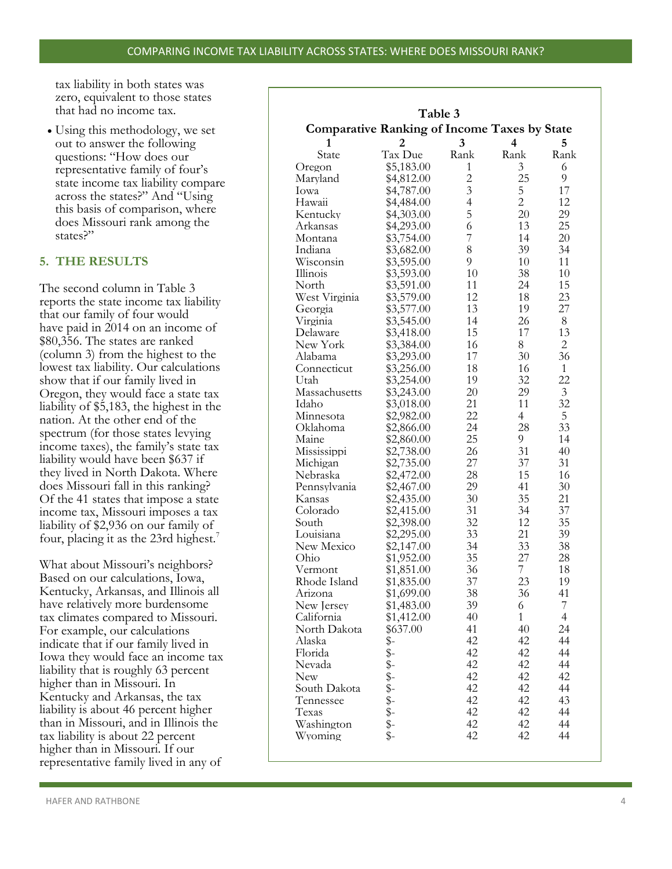tax liability in both states was zero, equivalent to those states that had no income tax.

 Using this methodology, we set out to answer the following questions: "How does our representative family of four's state income tax liability compare across the states?" And "Using this basis of comparison, where does Missouri rank among the states?"

# **5. THE RESULTS**

The second column in Table 3 reports the state income tax liability that our family of four would have paid in 2014 on an income of \$80,356. The states are ranked (column 3) from the highest to the lowest tax liability. Our calculations show that if our family lived in Oregon, they would face a state tax liability of \$5,183, the highest in the nation. At the other end of the spectrum (for those states levying income taxes), the family's state tax liability would have been \$637 if they lived in North Dakota. Where does Missouri fall in this ranking? Of the 41 states that impose a state income tax, Missouri imposes a tax liability of \$2,936 on our family of four, placing it as the 23rd highest.<sup>7</sup>

What about Missouri's neighbors? Based on our calculations, Iowa, Kentucky, Arkansas, and Illinois all have relatively more burdensome tax climates compared to Missouri. For example, our calculations indicate that if our family lived in Iowa they would face an income tax liability that is roughly 63 percent higher than in Missouri. In Kentucky and Arkansas, the tax liability is about 46 percent higher than in Missouri, and in Illinois the tax liability is about 22 percent higher than in Missouri. If our representative family lived in any of

| Table 3<br><b>Comparative Ranking of Income Taxes by State</b> |            |                         |                |                |  |  |  |  |
|----------------------------------------------------------------|------------|-------------------------|----------------|----------------|--|--|--|--|
|                                                                |            |                         |                |                |  |  |  |  |
| 1                                                              | 2          | 3                       | 4              | 5              |  |  |  |  |
| State                                                          | Tax Due    | Rank                    | Rank           | Rank           |  |  |  |  |
| Oregon                                                         | \$5,183.00 | 1                       | 3              | 6              |  |  |  |  |
| Maryland                                                       | \$4,812.00 | $\overline{\mathbf{c}}$ | 25             | 9              |  |  |  |  |
| Iowa                                                           | \$4,787.00 | $\overline{3}$          | 5              | 17             |  |  |  |  |
| Hawaii                                                         | \$4,484.00 | $\overline{4}$          | $\overline{2}$ | 12             |  |  |  |  |
| Kentucky                                                       | \$4,303.00 | 5                       | 20             | 29             |  |  |  |  |
| Arkansas                                                       | \$4,293.00 | 6                       | 13             | 25             |  |  |  |  |
| Montana                                                        | \$3,754.00 | 7                       | 14             | 20             |  |  |  |  |
| Indiana                                                        | \$3,682.00 | 8                       | 39             | 34             |  |  |  |  |
| Wisconsin                                                      | \$3,595.00 | 9                       | 10             | 11             |  |  |  |  |
| Illinois                                                       | \$3,593.00 | 10                      | 38             | 10             |  |  |  |  |
| North                                                          | \$3,591.00 | 11                      | 24             | 15             |  |  |  |  |
| West Virginia                                                  | \$3,579.00 | 12                      | 18             | 23             |  |  |  |  |
| Georgia                                                        | \$3,577.00 | 13                      | 19             | 27             |  |  |  |  |
| Virginia                                                       | \$3,545.00 | 14                      | 26             | 8              |  |  |  |  |
| Delaware                                                       | \$3,418.00 | 15                      | 17             | 13             |  |  |  |  |
| New York                                                       | \$3,384.00 | 16                      | 8              | $\overline{c}$ |  |  |  |  |
| Alabama                                                        | \$3,293.00 | 17                      | 30             | 36             |  |  |  |  |
| Connecticut                                                    | \$3,256.00 | 18                      | 16             | $\mathbf{1}$   |  |  |  |  |
| Utah                                                           | \$3,254.00 | 19                      | 32             | 22             |  |  |  |  |
| Massachusetts                                                  | \$3,243.00 | 20                      | 29             | 3              |  |  |  |  |
| Idaho                                                          | \$3,018.00 | 21                      | 11             | 32             |  |  |  |  |
| Minnesota                                                      | \$2,982.00 | 22                      | 4              | 5              |  |  |  |  |
| Oklahoma                                                       | \$2,866.00 | 24                      | 28             | 33             |  |  |  |  |
| Maine                                                          | \$2,860.00 | 25                      | 9              | 14             |  |  |  |  |
|                                                                |            | 26                      | 31             | 40             |  |  |  |  |
| Mississippi                                                    | \$2,738.00 | 27                      | 37             | 31             |  |  |  |  |
| Michigan                                                       | \$2,735.00 |                         |                |                |  |  |  |  |
| Nebraska                                                       | \$2,472.00 | 28                      | 15             | 16             |  |  |  |  |
| Pennsylvania                                                   | \$2,467.00 | 29                      | 41             | 30             |  |  |  |  |
| Kansas                                                         | \$2,435.00 | 30                      | 35             | 21             |  |  |  |  |
| Colorado                                                       | \$2,415.00 | 31                      | 34             | 37             |  |  |  |  |
| South                                                          | \$2,398.00 | 32                      | 12             | 35             |  |  |  |  |
| Louisiana                                                      | \$2,295.00 | 33                      | 21             | 39             |  |  |  |  |
| New Mexico                                                     | \$2,147.00 | 34                      | 33             | 38             |  |  |  |  |
| Ohio                                                           | \$1,952.00 | 35                      | 27             | 28             |  |  |  |  |
| Vermont                                                        | \$1,851.00 | 36                      | 7              | 18             |  |  |  |  |
| Rhode Island                                                   | \$1,835.00 | 37                      | 23             | 19             |  |  |  |  |
| Arizona                                                        | \$1,699.00 | 38                      | 36             | 41             |  |  |  |  |
| New Jersey                                                     | \$1,483.00 | 39                      | 6              | 7              |  |  |  |  |
| California                                                     | \$1,412.00 | 40                      | $\mathbf{1}$   | $\overline{4}$ |  |  |  |  |
| North Dakota                                                   | \$637.00   | 41                      | 40             | 24             |  |  |  |  |
| Alaska                                                         |            | 42                      | 42             | 44             |  |  |  |  |
| Florida                                                        |            | 42                      | 42             | 44             |  |  |  |  |
| Nevada                                                         |            | 42                      | 42             | 44             |  |  |  |  |
| New                                                            |            | 42                      | 42             | 42             |  |  |  |  |
| South Dakota                                                   |            | 42                      | 42             | 44             |  |  |  |  |
| Tennessee                                                      |            | 42                      | 42             | 43             |  |  |  |  |
| Texas                                                          |            | 42                      | 42             | 44             |  |  |  |  |
| Washington                                                     |            | 42                      | 42             | 44             |  |  |  |  |
| Wyoming                                                        | きますするます    | 42                      | 42             | 44             |  |  |  |  |
|                                                                |            |                         |                |                |  |  |  |  |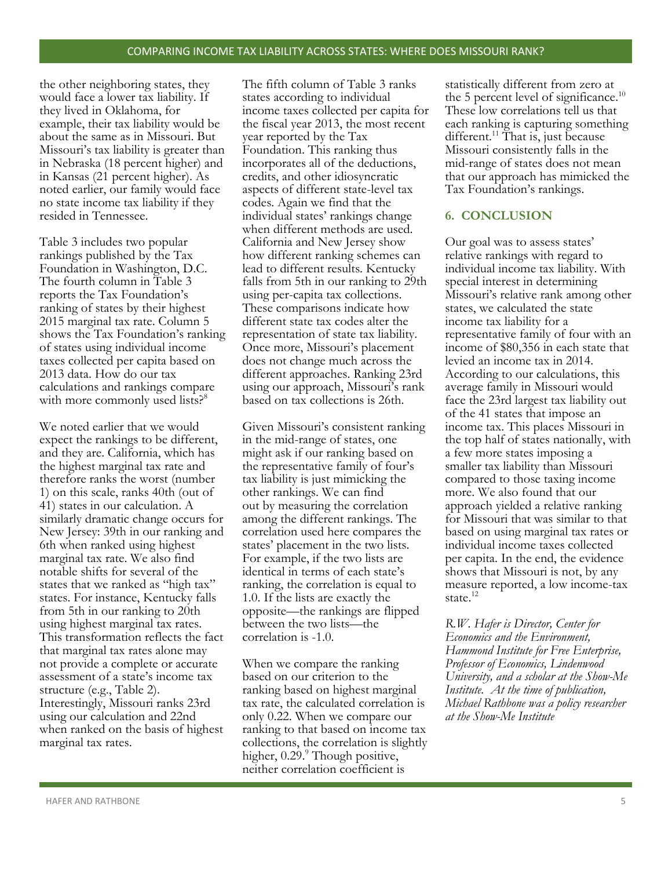the other neighboring states, they would face a lower tax liability. If they lived in Oklahoma, for example, their tax liability would be about the same as in Missouri. But Missouri's tax liability is greater than in Nebraska (18 percent higher) and in Kansas (21 percent higher). As noted earlier, our family would face no state income tax liability if they resided in Tennessee.

Table 3 includes two popular rankings published by the Tax Foundation in Washington, D.C. The fourth column in Table 3 reports the Tax Foundation's ranking of states by their highest 2015 marginal tax rate. Column 5 shows the Tax Foundation's ranking of states using individual income taxes collected per capita based on 2013 data. How do our tax calculations and rankings compare with more commonly used lists?<sup>8</sup>

We noted earlier that we would expect the rankings to be different, and they are. California, which has the highest marginal tax rate and therefore ranks the worst (number 1) on this scale, ranks 40th (out of 41) states in our calculation. A similarly dramatic change occurs for New Jersey: 39th in our ranking and 6th when ranked using highest marginal tax rate. We also find notable shifts for several of the states that we ranked as "high tax" states. For instance, Kentucky falls from 5th in our ranking to 20th using highest marginal tax rates. This transformation reflects the fact that marginal tax rates alone may not provide a complete or accurate assessment of a state's income tax structure (e.g., Table 2). Interestingly, Missouri ranks 23rd using our calculation and 22nd when ranked on the basis of highest marginal tax rates.

The fifth column of Table 3 ranks states according to individual income taxes collected per capita for the fiscal year 2013, the most recent year reported by the Tax Foundation. This ranking thus incorporates all of the deductions, credits, and other idiosyncratic aspects of different state-level tax codes. Again we find that the individual states' rankings change when different methods are used. California and New Jersey show how different ranking schemes can lead to different results. Kentucky falls from 5th in our ranking to 29th using per-capita tax collections. These comparisons indicate how different state tax codes alter the representation of state tax liability. Once more, Missouri's placement does not change much across the different approaches. Ranking 23rd using our approach, Missouri's rank based on tax collections is 26th.

Given Missouri's consistent ranking in the mid-range of states, one might ask if our ranking based on the representative family of four's tax liability is just mimicking the other rankings. We can find out by measuring the correlation among the different rankings. The correlation used here compares the states' placement in the two lists. For example, if the two lists are identical in terms of each state's ranking, the correlation is equal to 1.0. If the lists are exactly the opposite—the rankings are flipped between the two lists—the correlation is -1.0.

When we compare the ranking based on our criterion to the ranking based on highest marginal tax rate, the calculated correlation is only 0.22. When we compare our ranking to that based on income tax collections, the correlation is slightly higher,  $0.29$ . $\degree$  Though positive, neither correlation coefficient is

statistically different from zero at the 5 percent level of significance.<sup>10</sup> These low correlations tell us that each ranking is capturing something different.<sup>11</sup> That is, just because Missouri consistently falls in the mid-range of states does not mean that our approach has mimicked the Tax Foundation's rankings.

## **6. CONCLUSION**

Our goal was to assess states' relative rankings with regard to individual income tax liability. With special interest in determining Missouri's relative rank among other states, we calculated the state income tax liability for a representative family of four with an income of \$80,356 in each state that levied an income tax in 2014. According to our calculations, this average family in Missouri would face the 23rd largest tax liability out of the 41 states that impose an income tax. This places Missouri in the top half of states nationally, with a few more states imposing a smaller tax liability than Missouri compared to those taxing income more. We also found that our approach yielded a relative ranking for Missouri that was similar to that based on using marginal tax rates or individual income taxes collected per capita. In the end, the evidence shows that Missouri is not, by any measure reported, a low income-tax state.<sup>12</sup>

*R.W. Hafer is Director, Center for Economics and the Environment, Hammond Institute for Free Enterprise, Professor of Economics, Lindenwood University, and a scholar at the Show-Me Institute. At the time of publication, Michael Rathbone was a policy researcher at the Show-Me Institute*